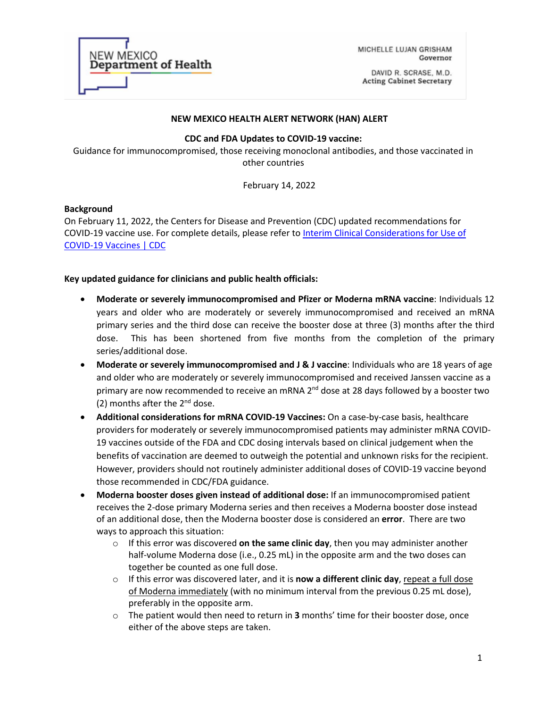| <b>NEW MEXICO</b><br><b>Department of Health</b> |
|--------------------------------------------------|
|                                                  |

MICHELLE LUJAN GRISHAM Governor

DAVID R. SCRASE, M.D. **Acting Cabinet Secretary** 

### **NEW MEXICO HEALTH ALERT NETWORK (HAN) ALERT**

### **CDC and FDA Updates to COVID-19 vaccine:**

Guidance for immunocompromised, those receiving monoclonal antibodies, and those vaccinated in other countries

February 14, 2022

## **Background**

On February 11, 2022, the Centers for Disease and Prevention (CDC) updated recommendations for COVID-19 vaccine use. For complete details, please refer to Interim Clinical Considerations for Use of COVID-19 Vaccines | CDC

### **Key updated guidance for clinicians and public health officials:**

- **Moderate or severely immunocompromised and Pfizer or Moderna mRNA vaccine**: Individuals 12 years and older who are moderately or severely immunocompromised and received an mRNA primary series and the third dose can receive the booster dose at three (3) months after the third dose. This has been shortened from five months from the completion of the primary series/additional dose.
- **Moderate or severely immunocompromised and J & J vaccine**: Individuals who are 18 years of age and older who are moderately or severely immunocompromised and received Janssen vaccine as a primary are now recommended to receive an mRNA  $2^{nd}$  dose at 28 days followed by a booster two (2) months after the  $2^{nd}$  dose.
- **Additional considerations for mRNA COVID-19 Vaccines:** On a case-by-case basis, healthcare providers for moderately or severely immunocompromised patients may administer mRNA COVID-19 vaccines outside of the FDA and CDC dosing intervals based on clinical judgement when the benefits of vaccination are deemed to outweigh the potential and unknown risks for the recipient. However, providers should not routinely administer additional doses of COVID-19 vaccine beyond those recommended in CDC/FDA guidance.
- **Moderna booster doses given instead of additional dose:** If an immunocompromised patient receives the 2-dose primary Moderna series and then receives a Moderna booster dose instead of an additional dose, then the Moderna booster dose is considered an **error**. There are two ways to approach this situation:
	- o If this error was discovered **on the same clinic day**, then you may administer another half-volume Moderna dose (i.e., 0.25 mL) in the opposite arm and the two doses can together be counted as one full dose.
	- o If this error was discovered later, and it is **now a different clinic day**, repeat a full dose of Moderna immediately (with no minimum interval from the previous 0.25 mL dose), preferably in the opposite arm.
	- o The patient would then need to return in **3** months' time for their booster dose, once either of the above steps are taken.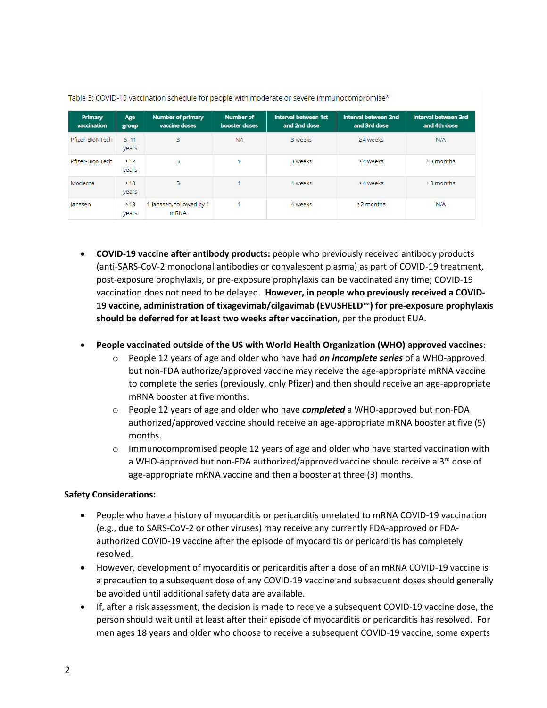| Primary<br>vaccination | Age<br>group       | <b>Number of primary</b><br>vaccine doses | <b>Number of</b><br>booster doses | Interval between 1st<br>and 2nd dose | <b>Interval between 2nd</b><br>and 3rd dose | Interval between 3rd<br>and 4th dose |
|------------------------|--------------------|-------------------------------------------|-----------------------------------|--------------------------------------|---------------------------------------------|--------------------------------------|
| Pfizer-BioNTech        | $5 - 11$<br>years  | 3                                         | <b>NA</b>                         | 3 weeks                              | $\geq$ 4 weeks                              | N/A                                  |
| Pfizer-BioNTech        | $\geq$ 12<br>years | 3                                         |                                   | 3 weeks                              | $\geq$ 4 weeks                              | $\geq$ 3 months                      |
| Moderna                | $\geq$ 18<br>years | 3                                         |                                   | 4 weeks                              | $\geq$ 4 weeks                              | $\geq$ 3 months                      |
| Janssen                | $\geq$ 18<br>years | 1 Janssen, followed by 1<br><b>mRNA</b>   |                                   | 4 weeks                              | $\geq$ 2 months                             | N/A                                  |

Table 3: COVID-19 vaccination schedule for people with moderate or severe immunocompromise\*

- **COVID-19 vaccine after antibody products:** people who previously received antibody products (anti-SARS-CoV-2 monoclonal antibodies or convalescent plasma) as part of COVID-19 treatment, post-exposure prophylaxis, or pre-exposure prophylaxis can be vaccinated any time; COVID-19 vaccination does not need to be delayed. **However, in people who previously received a COVID-19 vaccine, administration of tixagevimab/cilgavimab (EVUSHELD™) for pre-exposure prophylaxis should be deferred for at least two weeks after vaccination**, per the product EUA.
- **People vaccinated outside of the US with World Health Organization (WHO) approved vaccines**:
	- o People 12 years of age and older who have had *an incomplete series* of a WHO-approved but non-FDA authorize/approved vaccine may receive the age-appropriate mRNA vaccine to complete the series (previously, only Pfizer) and then should receive an age-appropriate mRNA booster at five months.
	- o People 12 years of age and older who have *completed* a WHO-approved but non-FDA authorized/approved vaccine should receive an age-appropriate mRNA booster at five (5) months.
	- $\circ$  Immunocompromised people 12 years of age and older who have started vaccination with a WHO-approved but non-FDA authorized/approved vaccine should receive a 3<sup>rd</sup> dose of age-appropriate mRNA vaccine and then a booster at three (3) months.

# **Safety Considerations:**

- People who have a history of myocarditis or pericarditis unrelated to mRNA COVID-19 vaccination (e.g., due to SARS-CoV-2 or other viruses) may receive any currently FDA-approved or FDAauthorized COVID-19 vaccine after the episode of myocarditis or pericarditis has completely resolved.
- However, development of myocarditis or pericarditis after a dose of an mRNA COVID-19 vaccine is a precaution to a subsequent dose of any COVID-19 vaccine and subsequent doses should generally be avoided until additional safety data are available.
- If, after a risk assessment, the decision is made to receive a subsequent COVID-19 vaccine dose, the person should wait until at least after their episode of myocarditis or pericarditis has resolved. For men ages 18 years and older who choose to receive a subsequent COVID-19 vaccine, some experts